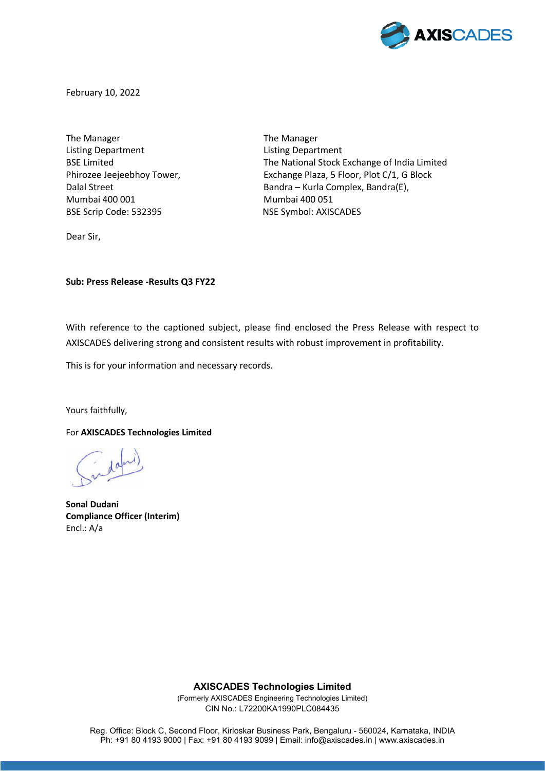

February 10, 2022

The Manager The Manager Listing Department Listing Department Mumbai 400 001 Mumbai 400 051 BSE Scrip Code: 532395 NSE Symbol: AXISCADES

BSE Limited **The National Stock Exchange of India Limited** Phirozee Jeejeebhoy Tower, Exchange Plaza, 5 Floor, Plot C/1, G Block Dalal Street Bandra – Kurla Complex, Bandra(E),

Dear Sir,

**Sub: Press Release -Results Q3 FY22** 

With reference to the captioned subject, please find enclosed the Press Release with respect to AXISCADES delivering strong and consistent results with robust improvement in profitability.

This is for your information and necessary records.

Yours faithfully,

For **AXISCADES Technologies Limited**

**Sonal Dudani Compliance Officer (Interim)**  Encl.: A/a

**AXISCADES Technologies Limited** 

(Formerly AXISCADES Engineering Technologies Limited) CIN No.: L72200KA1990PLC084435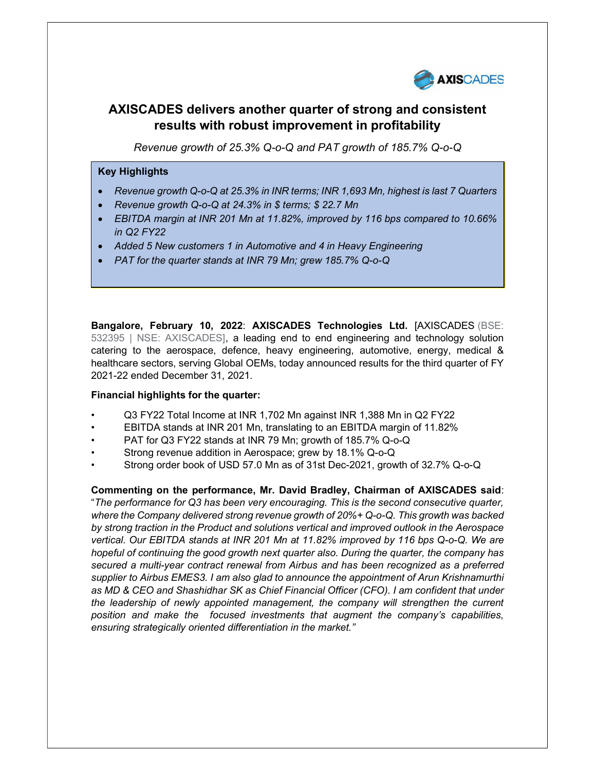

# AXISCADES delivers another quarter of strong and consistent results with robust improvement in profitability

Revenue growth of 25.3% Q-o-Q and PAT growth of 185.7% Q-o-Q

### Key Highlights

- Revenue growth Q-o-Q at 25.3% in INR terms; INR 1,693 Mn, highest is last 7 Quarters
- Revenue growth Q-o-Q at 24.3% in \$ terms; \$ 22.7 Mn
- EBITDA margin at INR 201 Mn at 11.82%, improved by 116 bps compared to 10.66% in Q2 FY22
- Added 5 New customers 1 in Automotive and 4 in Heavy Engineering
- PAT for the quarter stands at INR 79 Mn; grew 185.7% Q-o-Q

Bangalore, February 10, 2022: AXISCADES Technologies Ltd. [AXISCADES (BSE: 532395 | NSE: AXISCADES], a leading end to end engineering and technology solution catering to the aerospace, defence, heavy engineering, automotive, energy, medical & healthcare sectors, serving Global OEMs, today announced results for the third quarter of FY 2021-22 ended December 31, 2021.

### Financial highlights for the quarter:

- Q3 FY22 Total Income at INR 1,702 Mn against INR 1,388 Mn in Q2 FY22
- EBITDA stands at INR 201 Mn, translating to an EBITDA margin of 11.82%
- PAT for Q3 FY22 stands at INR 79 Mn; growth of 185.7% Q-o-Q
- Strong revenue addition in Aerospace; grew by 18.1% Q-o-Q
- Strong order book of USD 57.0 Mn as of 31st Dec-2021, growth of 32.7% Q-o-Q

Commenting on the performance, Mr. David Bradley, Chairman of AXISCADES said: "The performance for Q3 has been very encouraging. This is the second consecutive quarter, where the Company delivered strong revenue growth of 20%+ Q-o-Q. This growth was backed by strong traction in the Product and solutions vertical and improved outlook in the Aerospace vertical. Our EBITDA stands at INR 201 Mn at 11.82% improved by 116 bps Q-o-Q. We are hopeful of continuing the good growth next quarter also. During the quarter, the company has secured a multi-year contract renewal from Airbus and has been recognized as a preferred supplier to Airbus EMES3. I am also glad to announce the appointment of Arun Krishnamurthi as MD & CEO and Shashidhar SK as Chief Financial Officer (CFO). I am confident that under the leadership of newly appointed management, the company will strengthen the current position and make the focused investments that augment the company's capabilities, ensuring strategically oriented differentiation in the market."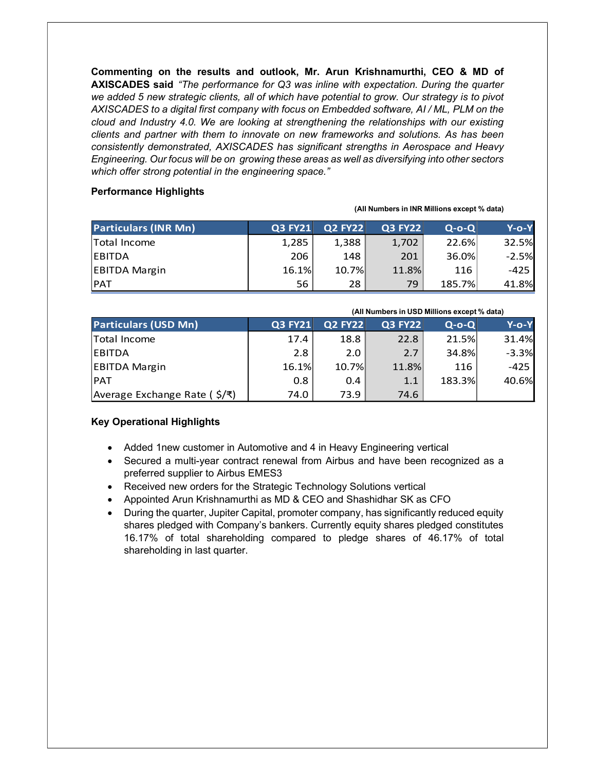Commenting on the results and outlook, Mr. Arun Krishnamurthi, CEO & MD of AXISCADES said "The performance for Q3 was inline with expectation. During the quarter we added 5 new strategic clients, all of which have potential to grow. Our strategy is to pivot AXISCADES to a digital first company with focus on Embedded software, AI / ML, PLM on the cloud and Industry 4.0. We are looking at strengthening the relationships with our existing clients and partner with them to innovate on new frameworks and solutions. As has been consistently demonstrated, AXISCADES has significant strengths in Aerospace and Heavy Engineering. Our focus will be on growing these areas as well as diversifying into other sectors which offer strong potential in the engineering space."

### Performance Highlights

| <b>Particulars (INR Mn)</b> | <b>Q3 FY21</b> | <b>Q2 FY22</b> | <b>Q3 FY22</b> | $Q-O-Q$ | Y-o-Y        |
|-----------------------------|----------------|----------------|----------------|---------|--------------|
| Total Income                | 1,285          | 1,388          | 1,702          | 22.6%   | <b>32.5%</b> |
| <b>EBITDA</b>               | 206            | 148            | 201            | 36.0%   | $-2.5%$      |
| <b>EBITDA Margin</b>        | 16.1%          | 10.7%          | 11.8%          | 116     | $-425$       |
| <b>PAT</b>                  | 56             | 28             | 79             | 185.7%  | 41.8%        |

(All Numbers in INR Millions except % data)

|                              | (All Numbers in USD Millions except % data) |                |                |         |          |
|------------------------------|---------------------------------------------|----------------|----------------|---------|----------|
| <b>Particulars (USD Mn)</b>  | <b>Q3 FY21</b>                              | <b>Q2 FY22</b> | <b>Q3 FY22</b> | $Q-O-O$ | $Y$ -o-Y |
| <b>Total Income</b>          | 17.4                                        | 18.8           | 22.8           | 21.5%   | 31.4%    |
| <b>EBITDA</b>                | 2.8                                         | 2.0            | 2.7            | 34.8%   | $-3.3%$  |
| <b>EBITDA Margin</b>         | 16.1%                                       | 10.7%          | 11.8%          | 116     | $-425$   |
| <b>PAT</b>                   | 0.8                                         | 0.4            | 1.1            | 183.3%  | 40.6%    |
| Average Exchange Rate (\$/₹) | 74.0                                        | 73.9           | 74.6           |         |          |

## Key Operational Highlights

- Added 1new customer in Automotive and 4 in Heavy Engineering vertical
- Secured a multi-year contract renewal from Airbus and have been recognized as a preferred supplier to Airbus EMES3
- Received new orders for the Strategic Technology Solutions vertical
- Appointed Arun Krishnamurthi as MD & CEO and Shashidhar SK as CFO
- During the quarter, Jupiter Capital, promoter company, has significantly reduced equity shares pledged with Company's bankers. Currently equity shares pledged constitutes 16.17% of total shareholding compared to pledge shares of 46.17% of total shareholding in last quarter.